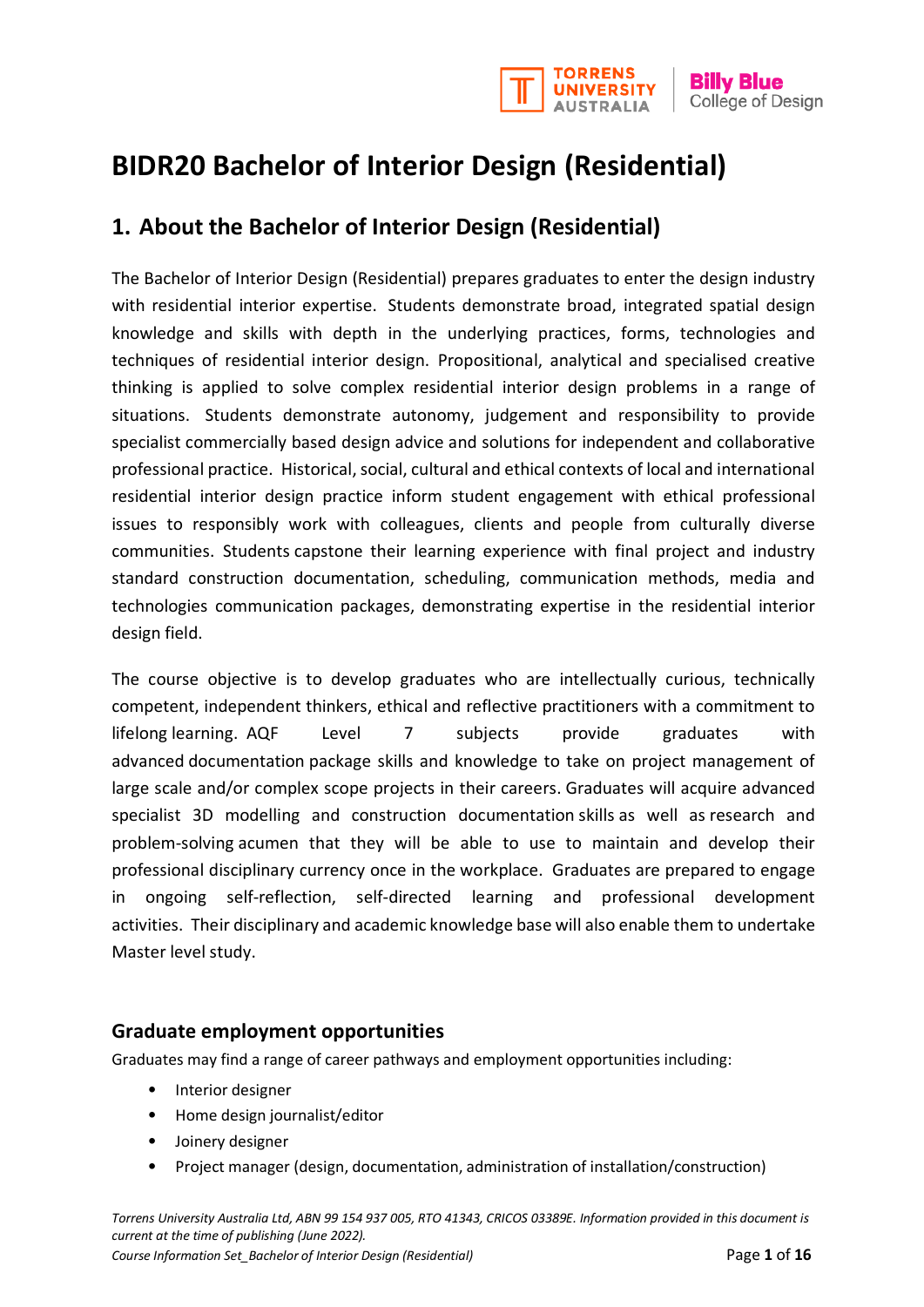

# **BIDR20 Bachelor of Interior Design (Residential)**

# **1. About the Bachelor of Interior Design (Residential)**

The Bachelor of Interior Design (Residential) prepares graduates to enter the design industry with residential interior expertise. Students demonstrate broad, integrated spatial design knowledge and skills with depth in the underlying practices, forms, technologies and techniques of residential interior design. Propositional, analytical and specialised creative thinking is applied to solve complex residential interior design problems in a range of situations. Students demonstrate autonomy, judgement and responsibility to provide specialist commercially based design advice and solutions for independent and collaborative professional practice. Historical, social, cultural and ethical contexts of local and international residential interior design practice inform student engagement with ethical professional issues to responsibly work with colleagues, clients and people from culturally diverse communities. Students capstone their learning experience with final project and industry standard construction documentation, scheduling, communication methods, media and technologies communication packages, demonstrating expertise in the residential interior design field.

The course objective is to develop graduates who are intellectually curious, technically competent, independent thinkers, ethical and reflective practitioners with a commitment to lifelong learning. AQF Level 7 subjects provide graduates with advanced documentation package skills and knowledge to take on project management of large scale and/or complex scope projects in their careers. Graduates will acquire advanced specialist 3D modelling and construction documentation skills as well as research and problem-solving acumen that they will be able to use to maintain and develop their professional disciplinary currency once in the workplace. Graduates are prepared to engage in ongoing self-reflection, self-directed learning and professional development activities. Their disciplinary and academic knowledge base will also enable them to undertake Master level study.

# **Graduate employment opportunities**

Graduates may find a range of career pathways and employment opportunities including:

- Interior designer
- Home design journalist/editor
- Joinery designer
- Project manager (design, documentation, administration of installation/construction)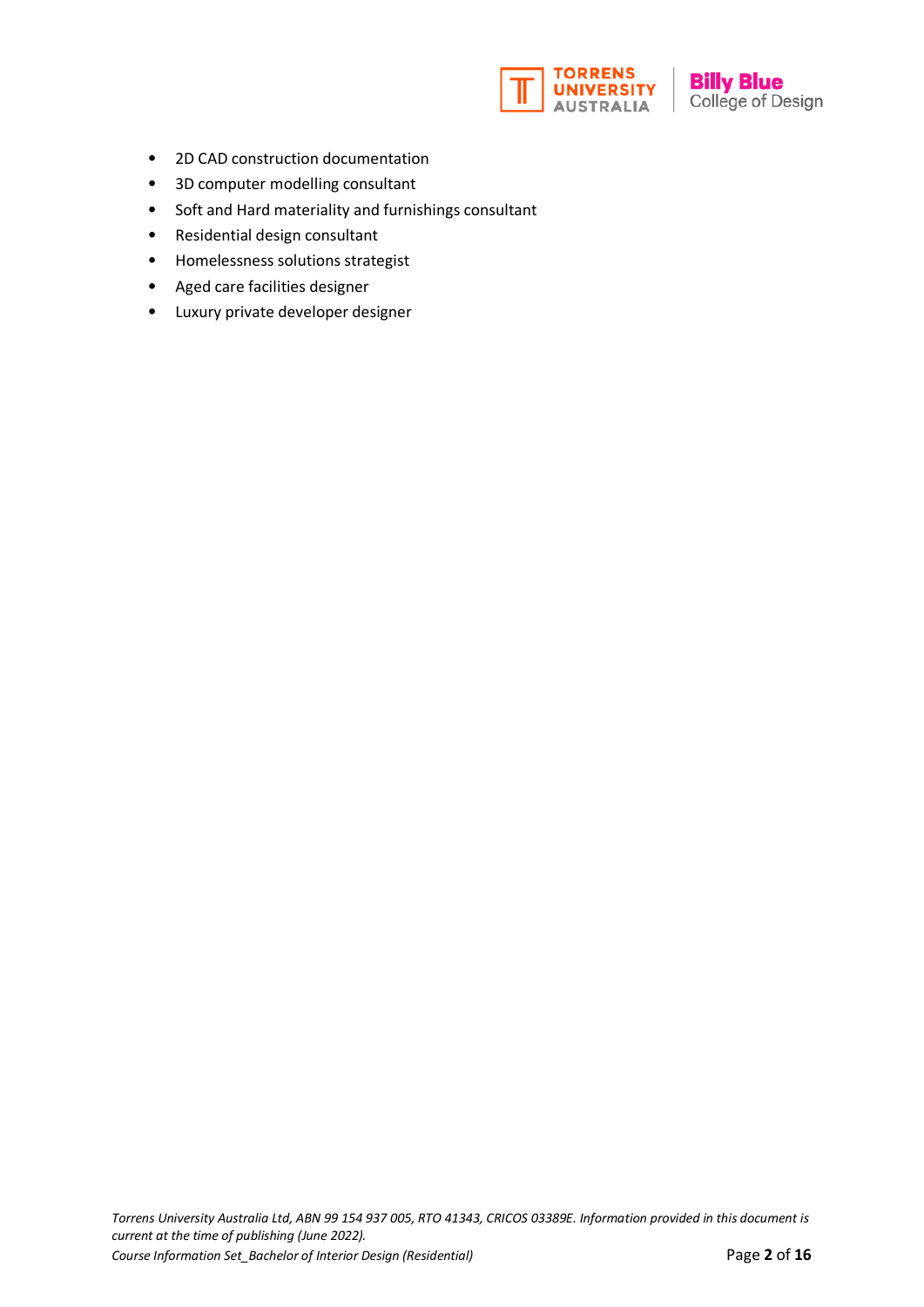

- 2D CAD construction documentation
- 3D computer modelling consultant
- Soft and Hard materiality and furnishings consultant
- Residential design consultant
- Homelessness solutions strategist
- Aged care facilities designer
- Luxury private developer designer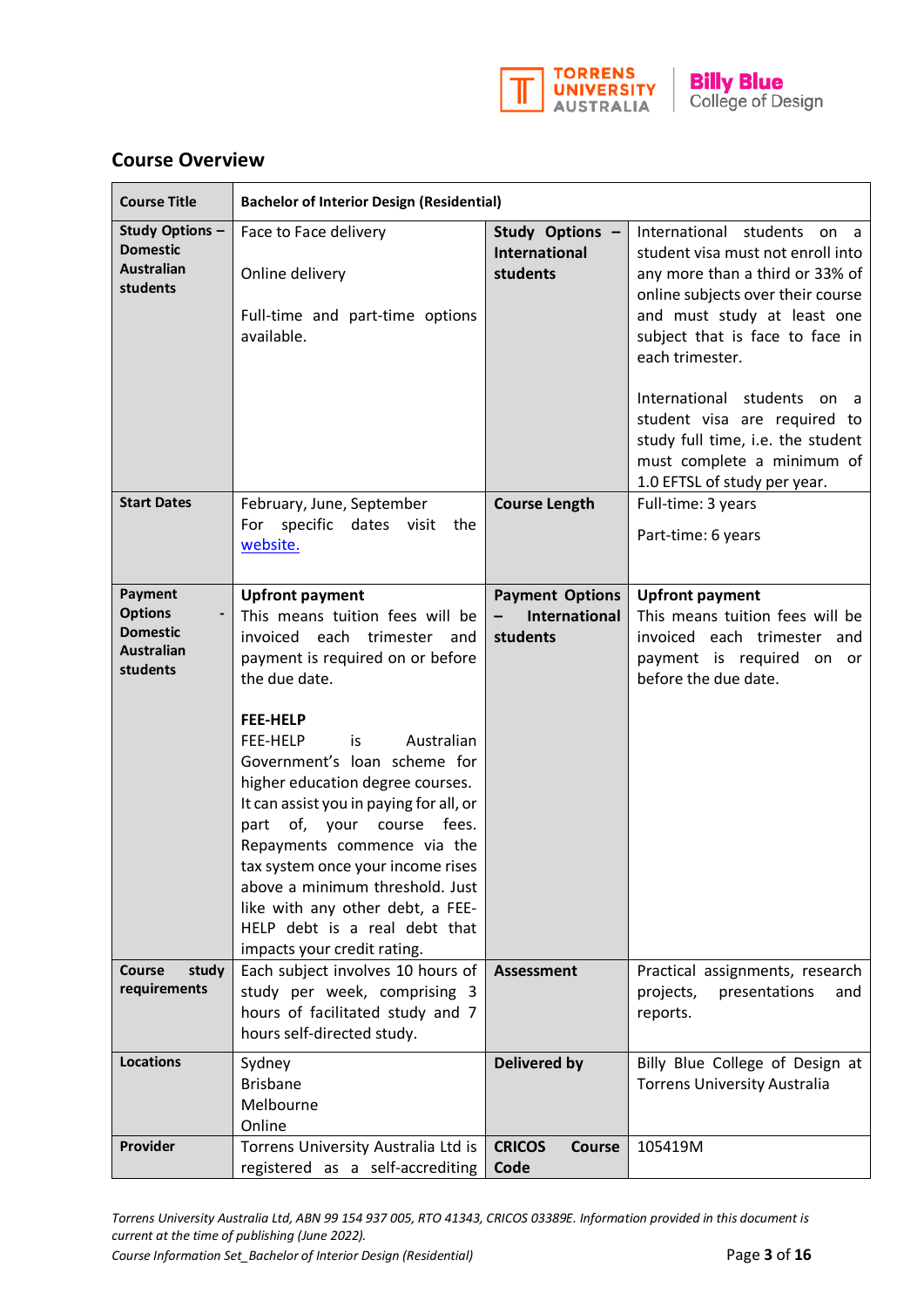

|  |  | <b>Course Overview</b> |
|--|--|------------------------|
|--|--|------------------------|

| <b>Course Title</b>                                                           | <b>Bachelor of Interior Design (Residential)</b>                                                                                                                                                                                                                                                                                                                                                                                                                                                                                                         |                                                                                 |                                                                                                                                                                                                                                                                                                                                                                                                 |  |
|-------------------------------------------------------------------------------|----------------------------------------------------------------------------------------------------------------------------------------------------------------------------------------------------------------------------------------------------------------------------------------------------------------------------------------------------------------------------------------------------------------------------------------------------------------------------------------------------------------------------------------------------------|---------------------------------------------------------------------------------|-------------------------------------------------------------------------------------------------------------------------------------------------------------------------------------------------------------------------------------------------------------------------------------------------------------------------------------------------------------------------------------------------|--|
| Study Options -<br><b>Domestic</b><br><b>Australian</b><br>students           | Face to Face delivery<br>Online delivery<br>Full-time and part-time options<br>available.                                                                                                                                                                                                                                                                                                                                                                                                                                                                | Study Options -<br><b>International</b><br>students                             | International students on a<br>student visa must not enroll into<br>any more than a third or 33% of<br>online subjects over their course<br>and must study at least one<br>subject that is face to face in<br>each trimester.<br>International students on a<br>student visa are required to<br>study full time, i.e. the student<br>must complete a minimum of<br>1.0 EFTSL of study per year. |  |
| <b>Start Dates</b>                                                            | February, June, September<br>specific dates visit the<br>For<br>website.                                                                                                                                                                                                                                                                                                                                                                                                                                                                                 | <b>Course Length</b>                                                            | Full-time: 3 years<br>Part-time: 6 years                                                                                                                                                                                                                                                                                                                                                        |  |
| Payment<br><b>Options</b><br><b>Domestic</b><br><b>Australian</b><br>students | <b>Upfront payment</b><br>This means tuition fees will be<br>invoiced each trimester and<br>payment is required on or before<br>the due date.<br><b>FEE-HELP</b><br>Australian<br>FEE-HELP<br>is<br>Government's loan scheme for<br>higher education degree courses.<br>It can assist you in paying for all, or<br>part of, your course fees.<br>Repayments commence via the<br>tax system once your income rises<br>above a minimum threshold. Just<br>like with any other debt, a FEE-<br>HELP debt is a real debt that<br>impacts your credit rating. | <b>Payment Options</b><br>International<br>$\overline{\phantom{0}}$<br>students | <b>Upfront payment</b><br>This means tuition fees will be<br>invoiced each trimester and<br>payment is required on or<br>before the due date.                                                                                                                                                                                                                                                   |  |
| <b>Course</b><br>study<br>requirements                                        | Each subject involves 10 hours of<br>study per week, comprising 3<br>hours of facilitated study and 7<br>hours self-directed study.                                                                                                                                                                                                                                                                                                                                                                                                                      | <b>Assessment</b>                                                               | Practical assignments, research<br>projects,<br>presentations<br>and<br>reports.                                                                                                                                                                                                                                                                                                                |  |
| <b>Locations</b>                                                              | Sydney<br><b>Brisbane</b><br>Melbourne<br>Online                                                                                                                                                                                                                                                                                                                                                                                                                                                                                                         | <b>Delivered by</b>                                                             | Billy Blue College of Design at<br><b>Torrens University Australia</b>                                                                                                                                                                                                                                                                                                                          |  |
| Provider                                                                      | Torrens University Australia Ltd is<br>registered as a self-accrediting                                                                                                                                                                                                                                                                                                                                                                                                                                                                                  | <b>CRICOS</b><br><b>Course</b><br>Code                                          | 105419M                                                                                                                                                                                                                                                                                                                                                                                         |  |

*Torrens University Australia Ltd, ABN 99 154 937 005, RTO 41343, CRICOS 03389E. Information provided in this document is current at the time of publishing (June 2022).* 

*Course Information Set\_Bachelor of Interior Design (Residential)* Page 3 of 16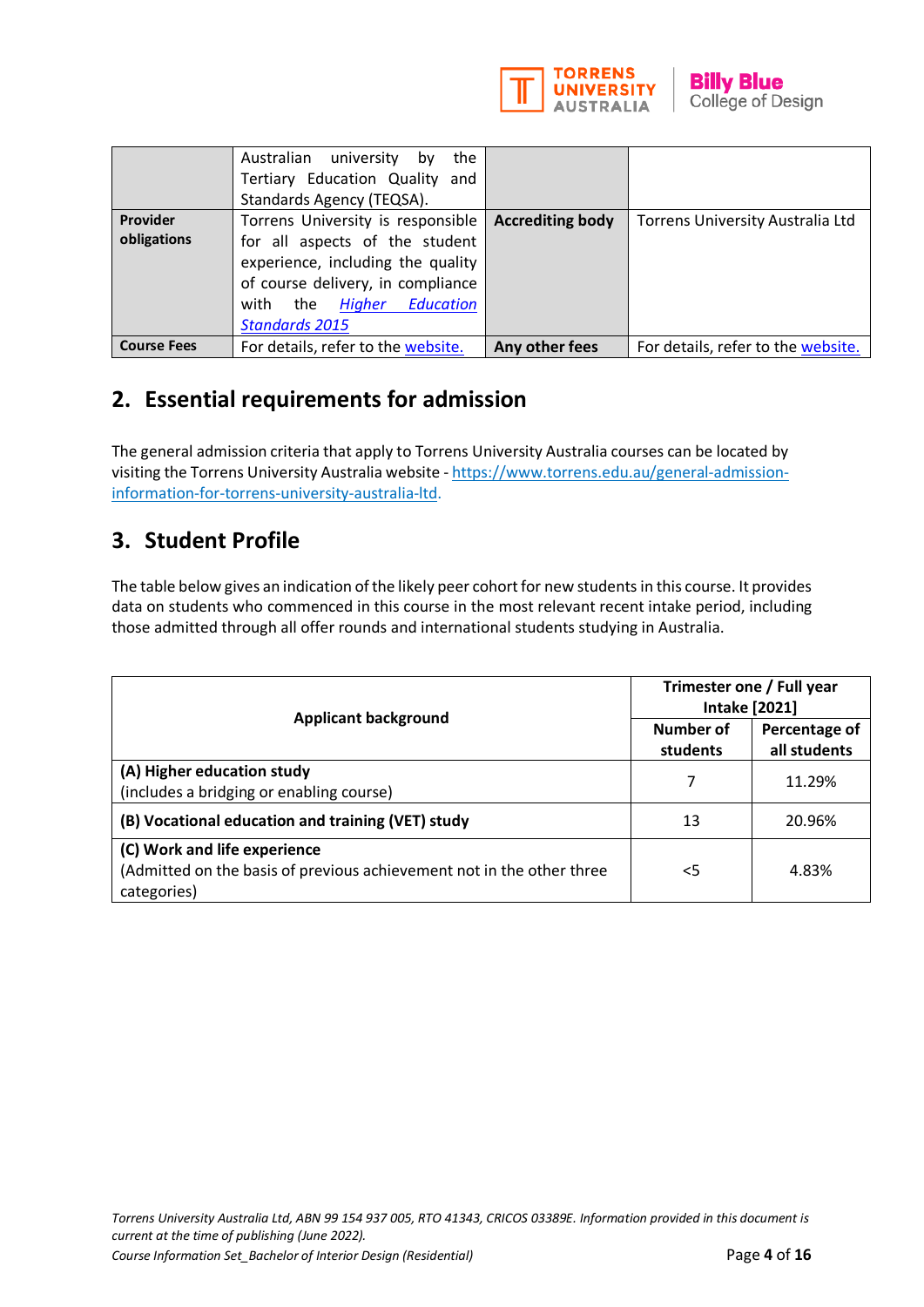

|                         | Australian university by<br>the<br>Tertiary Education Quality and<br>Standards Agency (TEQSA).                                                                                                                |                         |                                    |
|-------------------------|---------------------------------------------------------------------------------------------------------------------------------------------------------------------------------------------------------------|-------------------------|------------------------------------|
| Provider<br>obligations | Torrens University is responsible<br>for all aspects of the student<br>experience, including the quality<br>of course delivery, in compliance<br><b>Higher Education</b><br>with the<br><b>Standards 2015</b> | <b>Accrediting body</b> | Torrens University Australia Ltd   |
| <b>Course Fees</b>      | For details, refer to the website.                                                                                                                                                                            | Any other fees          | For details, refer to the website. |

# **2. Essential requirements for admission**

The general admission criteria that apply to Torrens University Australia courses can be located by visiting the Torrens University Australia website [- https://www.torrens.edu.au/general-admission](https://www.torrens.edu.au/general-admission-information-for-torrens-university-australia-ltd)[information-for-torrens-university-australia-ltd.](https://www.torrens.edu.au/general-admission-information-for-torrens-university-australia-ltd)

# **3. Student Profile**

The table below gives an indication of the likely peer cohort for new students in this course. It provides data on students who commenced in this course in the most relevant recent intake period, including those admitted through all offer rounds and international students studying in Australia.

|                                                                                                                      | Trimester one / Full year<br><b>Intake [2021]</b> |                               |
|----------------------------------------------------------------------------------------------------------------------|---------------------------------------------------|-------------------------------|
| <b>Applicant background</b>                                                                                          | Number of<br>students                             | Percentage of<br>all students |
| (A) Higher education study<br>(includes a bridging or enabling course)                                               |                                                   | 11.29%                        |
| (B) Vocational education and training (VET) study                                                                    | 13                                                | 20.96%                        |
| (C) Work and life experience<br>(Admitted on the basis of previous achievement not in the other three<br>categories) | <5                                                | 4.83%                         |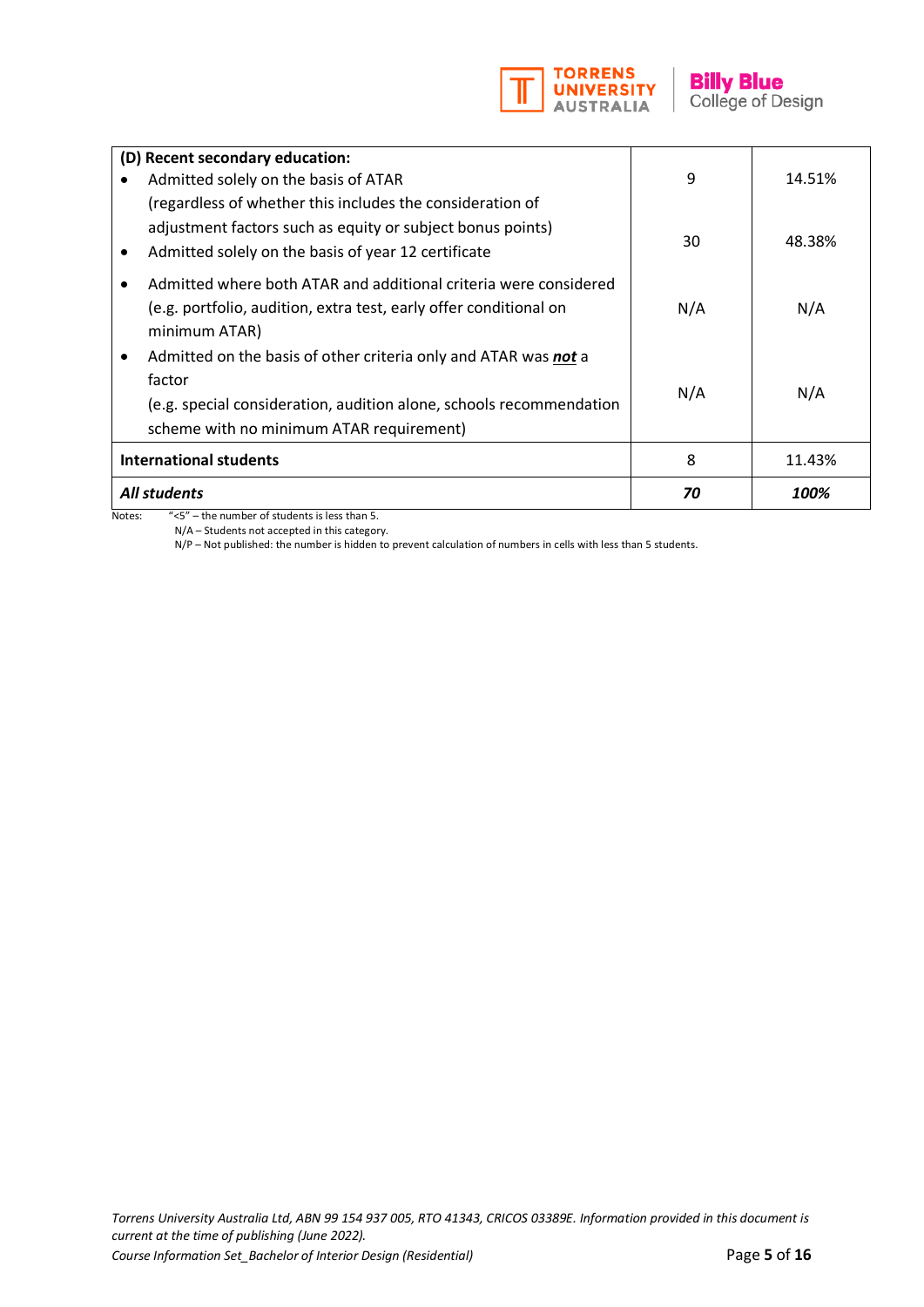

|           | (D) Recent secondary education:<br>Admitted solely on the basis of ATAR<br>(regardless of whether this includes the consideration of                                                         | 9   | 14.51% |
|-----------|----------------------------------------------------------------------------------------------------------------------------------------------------------------------------------------------|-----|--------|
| $\bullet$ | adjustment factors such as equity or subject bonus points)<br>Admitted solely on the basis of year 12 certificate                                                                            | 30  | 48.38% |
|           | Admitted where both ATAR and additional criteria were considered<br>(e.g. portfolio, audition, extra test, early offer conditional on<br>minimum ATAR)                                       | N/A | N/A    |
|           | Admitted on the basis of other criteria only and ATAR was not a<br>factor<br>(e.g. special consideration, audition alone, schools recommendation<br>scheme with no minimum ATAR requirement) | N/A | N/A    |
|           | <b>International students</b>                                                                                                                                                                | 8   | 11.43% |
|           | <b>All students</b>                                                                                                                                                                          | 70  | 100%   |

Notes: "<5" – the number of students is less than 5.

N/A – Students not accepted in this category.

N/P – Not published: the number is hidden to prevent calculation of numbers in cells with less than 5 students.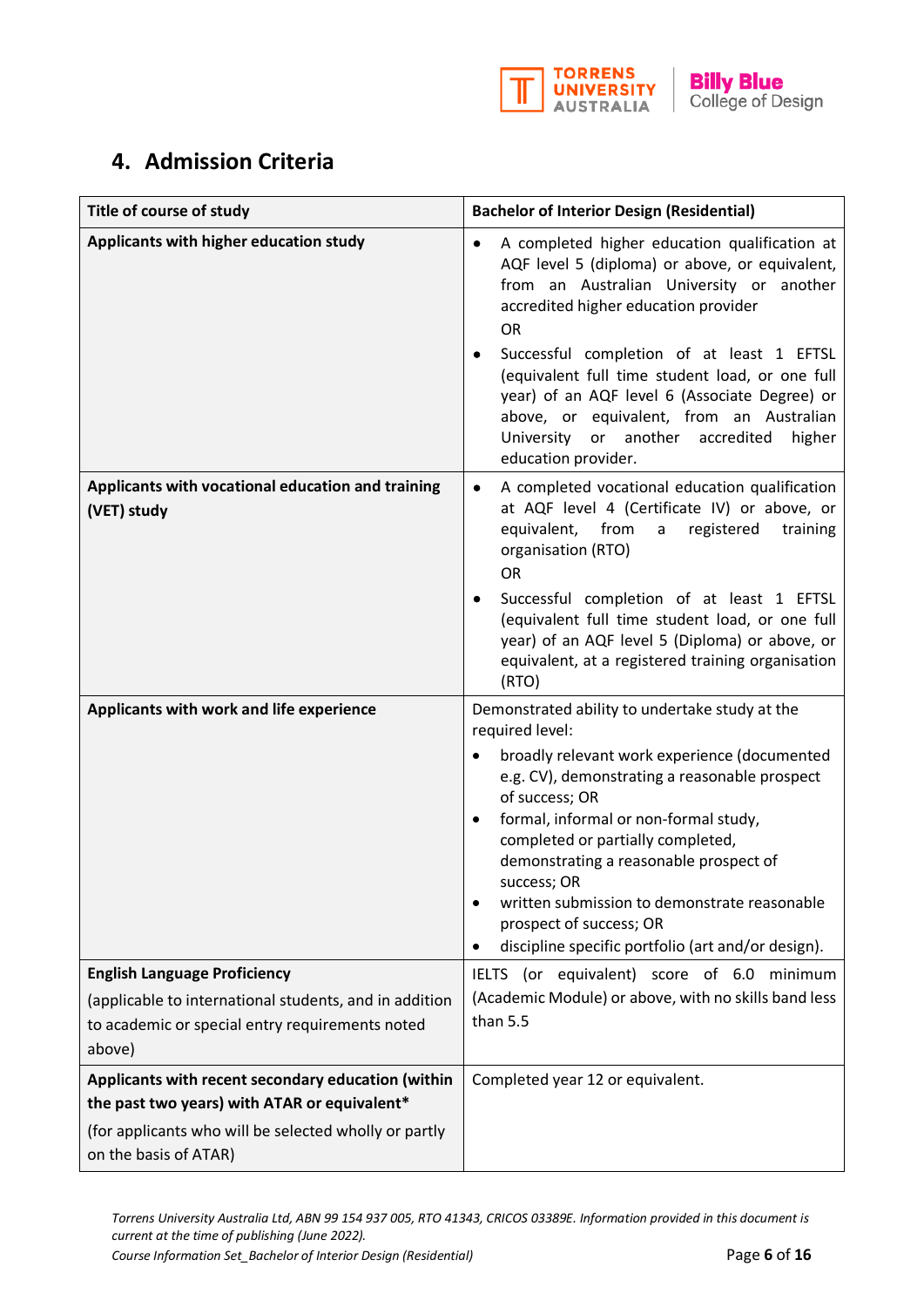

# **4. Admission Criteria**

| Title of course of study                                                                                                                                                             | <b>Bachelor of Interior Design (Residential)</b>                                                                                                                                                                                                                                                                                                                                                                                                                                |  |  |
|--------------------------------------------------------------------------------------------------------------------------------------------------------------------------------------|---------------------------------------------------------------------------------------------------------------------------------------------------------------------------------------------------------------------------------------------------------------------------------------------------------------------------------------------------------------------------------------------------------------------------------------------------------------------------------|--|--|
| Applicants with higher education study                                                                                                                                               | A completed higher education qualification at<br>$\bullet$<br>AQF level 5 (diploma) or above, or equivalent,<br>from an Australian University or another<br>accredited higher education provider<br><b>OR</b><br>Successful completion of at least 1 EFTSL<br>(equivalent full time student load, or one full<br>year) of an AQF level 6 (Associate Degree) or<br>above, or equivalent, from an Australian<br>University or another accredited<br>higher<br>education provider. |  |  |
| Applicants with vocational education and training<br>(VET) study                                                                                                                     | A completed vocational education qualification<br>at AQF level 4 (Certificate IV) or above, or<br>from<br>registered<br>equivalent,<br>a<br>training<br>organisation (RTO)<br><b>OR</b><br>Successful completion of at least 1 EFTSL<br>(equivalent full time student load, or one full<br>year) of an AQF level 5 (Diploma) or above, or<br>equivalent, at a registered training organisation<br>(RTO)                                                                         |  |  |
| Applicants with work and life experience                                                                                                                                             | Demonstrated ability to undertake study at the<br>required level:<br>broadly relevant work experience (documented<br>$\bullet$<br>e.g. CV), demonstrating a reasonable prospect<br>of success; OR<br>formal, informal or non-formal study,<br>completed or partially completed,<br>demonstrating a reasonable prospect of<br>success; OR<br>written submission to demonstrate reasonable<br>prospect of success; OR<br>discipline specific portfolio (art and/or design).       |  |  |
| <b>English Language Proficiency</b><br>(applicable to international students, and in addition<br>to academic or special entry requirements noted<br>above)                           | (or equivalent) score of 6.0 minimum<br><b>IELTS</b><br>(Academic Module) or above, with no skills band less<br>than 5.5                                                                                                                                                                                                                                                                                                                                                        |  |  |
| Applicants with recent secondary education (within<br>the past two years) with ATAR or equivalent*<br>(for applicants who will be selected wholly or partly<br>on the basis of ATAR) | Completed year 12 or equivalent.                                                                                                                                                                                                                                                                                                                                                                                                                                                |  |  |

*Torrens University Australia Ltd, ABN 99 154 937 005, RTO 41343, CRICOS 03389E. Information provided in this document is current at the time of publishing (June 2022).* 

*Course Information Set\_Bachelor of Interior Design (Residential)* Page 6 of 16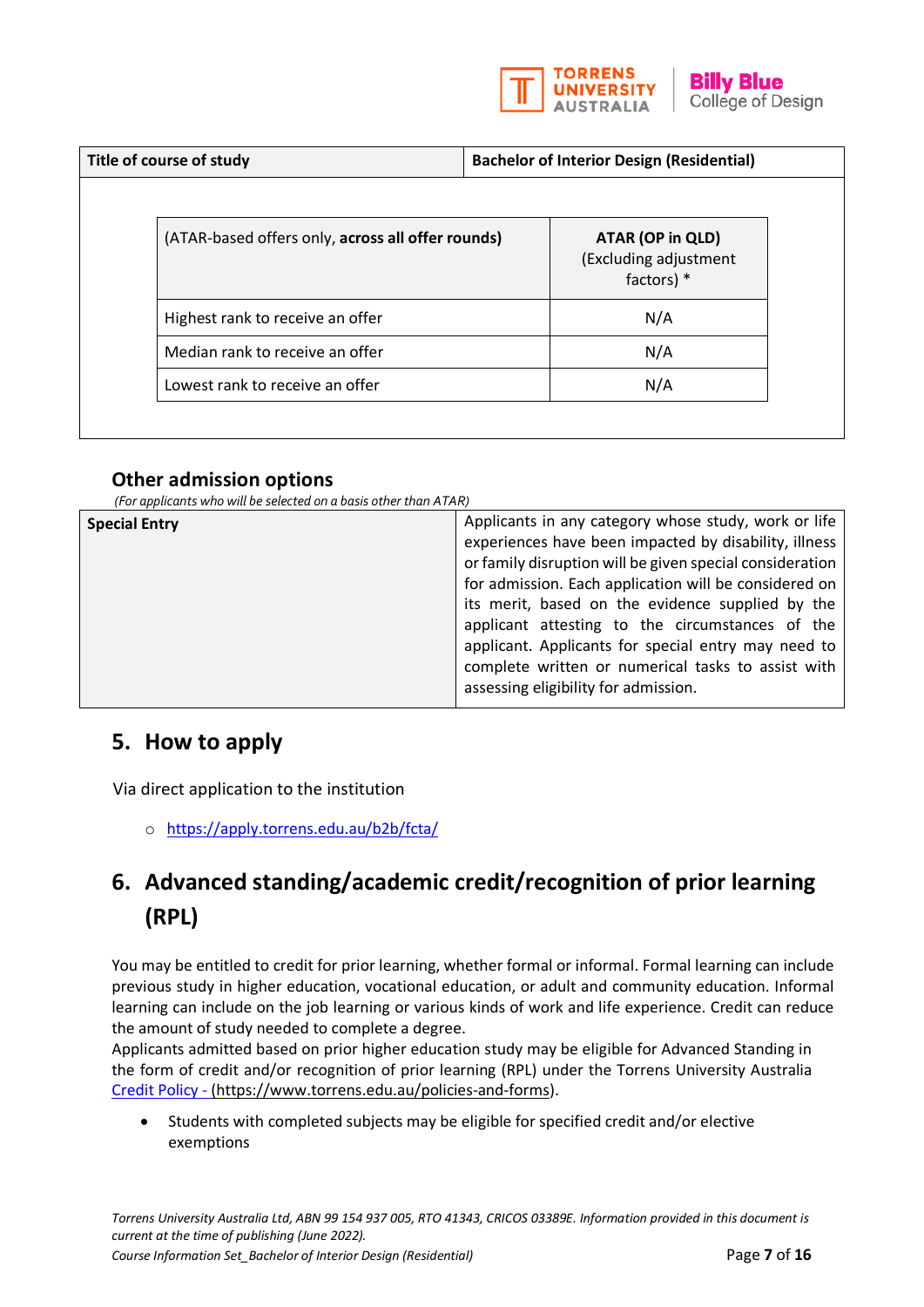

| Title of course of study                          | <b>Bachelor of Interior Design (Residential)</b>          |  |
|---------------------------------------------------|-----------------------------------------------------------|--|
| (ATAR-based offers only, across all offer rounds) | ATAR (OP in QLD)<br>(Excluding adjustment<br>factors) $*$ |  |
| Highest rank to receive an offer                  | N/A                                                       |  |
| Median rank to receive an offer                   | N/A                                                       |  |
| Lowest rank to receive an offer                   | N/A                                                       |  |

# **Other admission options**

*(For applicants who will be selected on a basis other than ATAR)*

# **5. How to apply**

Via direct application to the institution

o <https://apply.torrens.edu.au/b2b/fcta/>

# **6. Advanced standing/academic credit/recognition of prior learning (RPL)**

You may be entitled to credit for prior learning, whether formal or informal. Formal learning can include previous study in higher education, vocational education, or adult and community education. Informal learning can include on the job learning or various kinds of work and life experience. Credit can reduce the amount of study needed to complete a degree.

Applicants admitted based on prior higher education study may be eligible for Advanced Standing in the form of credit and/or recognition of prior learning (RPL) under the Torrens University Australia [Credit Policy](https://laureate-au.blackboard.com/bbcswebdav/institution/Groupwide/Policy%20and%20Procedures/TUA%20Policies%20and%20Procedures/TUA%20PL_AC_009%20Credit%20Policy.pdf) - [\(https://www.torrens.edu.au/policies-and-forms\)](https://www.torrens.edu.au/policies-and-forms).

• Students with completed subjects may be eligible for specified credit and/or elective exemptions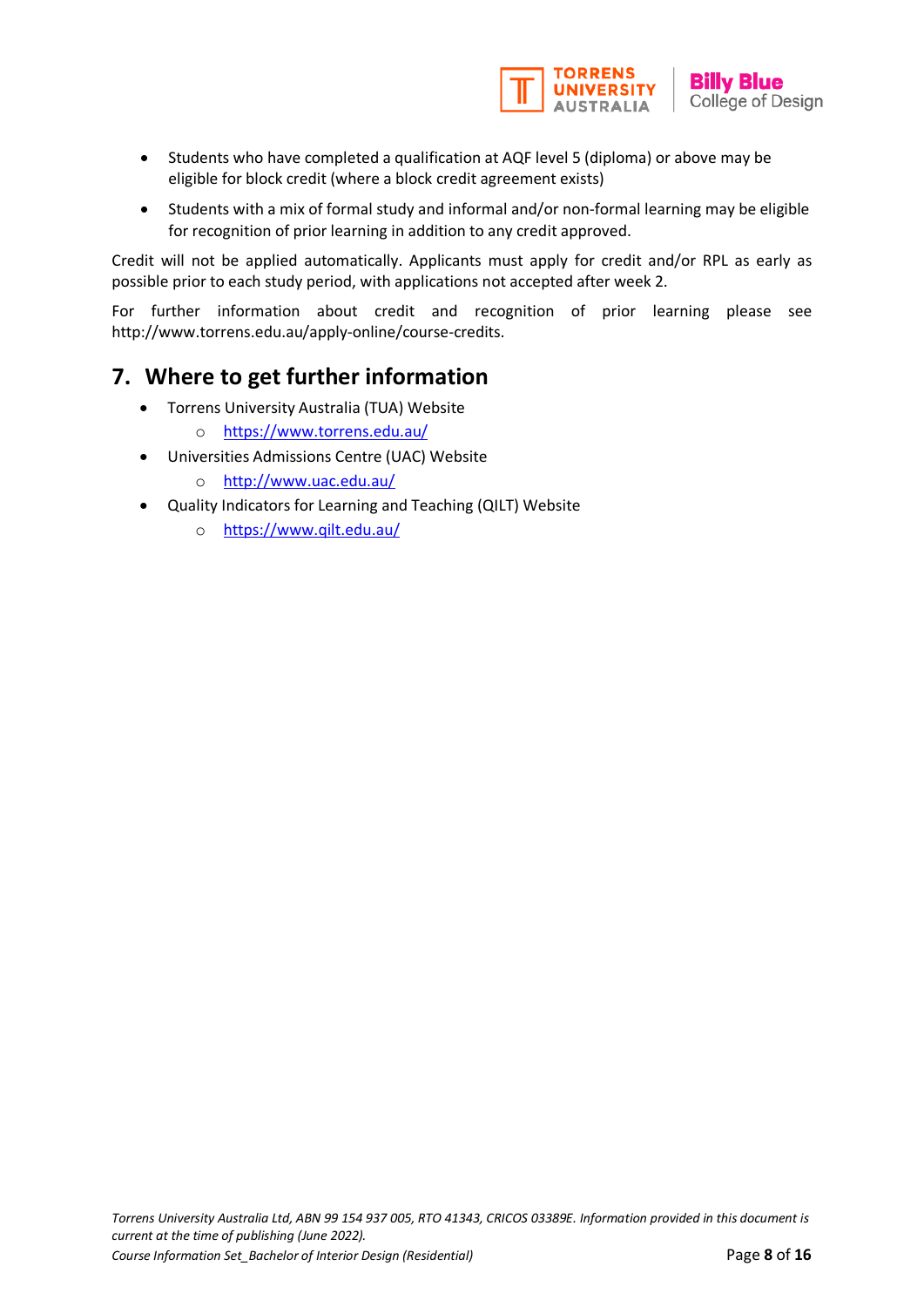

- Students who have completed a qualification at AQF level 5 (diploma) or above may be eligible for block credit (where a block credit agreement exists)
- Students with a mix of formal study and informal and/or non-formal learning may be eligible for recognition of prior learning in addition to any credit approved.

Credit will not be applied automatically. Applicants must apply for credit and/or RPL as early as possible prior to each study period, with applications not accepted after week 2.

For further information about credit and recognition of prior learning please see [http://www.torrens.edu.au/apply-online/course-credits.](http://www.torrens.edu.au/apply-online/course-credits)

# **7. Where to get further information**

- Torrens University Australia (TUA) Website
	- o <https://www.torrens.edu.au/>
- [Universities Admissions Centre \(UAC\) Website](http://www.uac.edu.au/)
	- o http://www.uac.edu.au/
- [Quality Indicators for Learning and Teaching \(QILT\)](https://www.qilt.edu.au/) Website
	- o <https://www.qilt.edu.au/>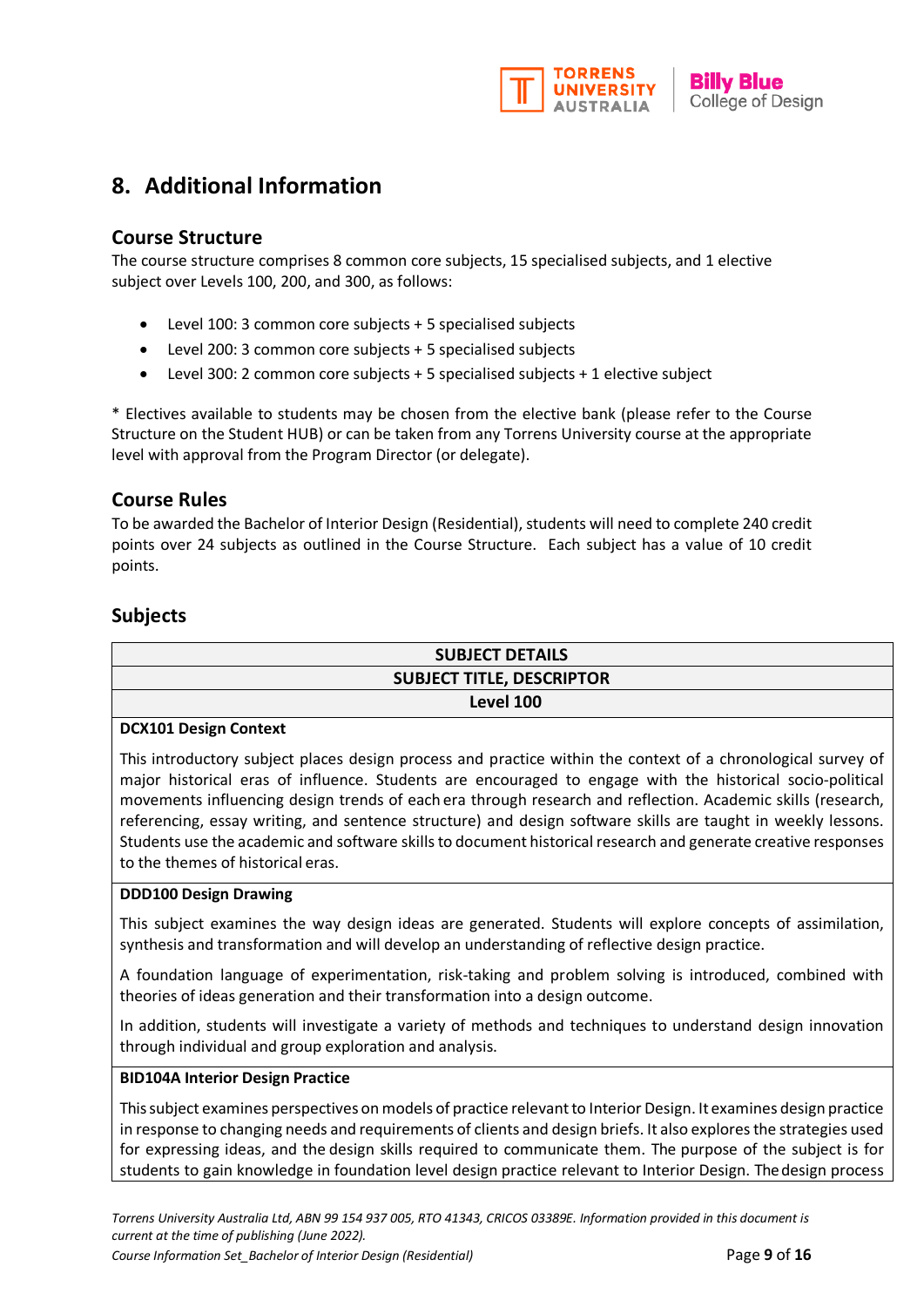

# **8. Additional Information**

# **Course Structure**

The course structure comprises 8 common core subjects, 15 specialised subjects, and 1 elective subject over Levels 100, 200, and 300, as follows:

- Level 100: 3 common core subjects + 5 specialised subjects
- Level 200: 3 common core subjects + 5 specialised subjects
- Level 300: 2 common core subjects + 5 specialised subjects + 1 elective subject

\* Electives available to students may be chosen from the elective bank (please refer to the Course Structure on the Student HUB) or can be taken from any Torrens University course at the appropriate level with approval from the Program Director (or delegate).

# **Course Rules**

To be awarded the Bachelor of Interior Design (Residential), students will need to complete 240 credit points over 24 subjects as outlined in the Course Structure. Each subject has a value of 10 credit points.

# **Subjects**

| <b>SUBJECT DETAILS</b>                                                                                         |
|----------------------------------------------------------------------------------------------------------------|
| <b>SUBJECT TITLE, DESCRIPTOR</b>                                                                               |
| Level 100                                                                                                      |
| <b>DCX101 Design Context</b>                                                                                   |
| This introductory subject places design process and prostice within the context of a chronological survey of l |

This introductory subject places design process and practice within the context of a chronological survey of major historical eras of influence. Students are encouraged to engage with the historical socio-political movements influencing design trends of each era through research and reflection. Academic skills (research, referencing, essay writing, and sentence structure) and design software skills are taught in weekly lessons. Students use the academic and software skills to document historical research and generate creative responses to the themes of historical eras.

#### **DDD100 Design Drawing**

This subject examines the way design ideas are generated. Students will explore concepts of assimilation, synthesis and transformation and will develop an understanding of reflective design practice.

A foundation language of experimentation, risk-taking and problem solving is introduced, combined with theories of ideas generation and their transformation into a design outcome.

In addition, students will investigate a variety of methods and techniques to understand design innovation through individual and group exploration and analysis.

#### **BID104A Interior Design Practice**

This subject examines perspectives on models of practice relevant to Interior Design. It examines design practice in response to changing needs and requirements of clients and design briefs. It also explores the strategies used for expressing ideas, and the design skills required to communicate them. The purpose of the subject is for students to gain knowledge in foundation level design practice relevant to Interior Design. Thedesign process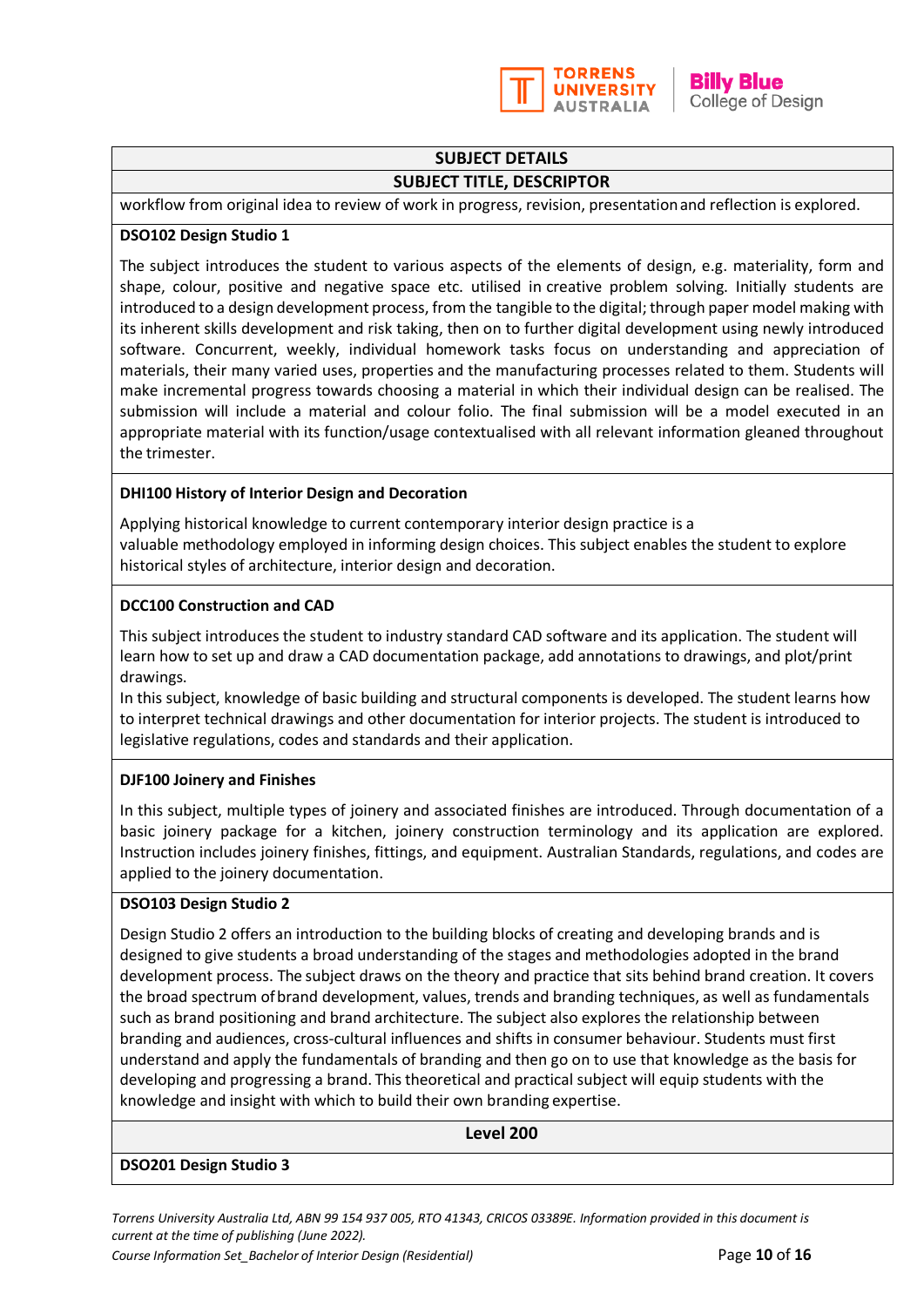

## **SUBJECT DETAILS**

#### **SUBJECT TITLE, DESCRIPTOR**

workflow from original idea to review of work in progress, revision, presentationand reflection is explored.

#### **DSO102 Design Studio 1**

The subject introduces the student to various aspects of the elements of design, e.g. materiality, form and shape, colour, positive and negative space etc. utilised in creative problem solving. Initially students are introduced to a design development process, from the tangible to the digital; through paper model making with its inherent skills development and risk taking, then on to further digital development using newly introduced software. Concurrent, weekly, individual homework tasks focus on understanding and appreciation of materials, their many varied uses, properties and the manufacturing processes related to them. Students will make incremental progress towards choosing a material in which their individual design can be realised. The submission will include a material and colour folio. The final submission will be a model executed in an appropriate material with its function/usage contextualised with all relevant information gleaned throughout the trimester.

#### **DHI100 History of Interior Design and Decoration**

Applying historical knowledge to current contemporary interior design practice is a valuable methodology employed in informing design choices. This subject enables the student to explore historical styles of architecture, interior design and decoration.

#### **DCC100 Construction and CAD**

This subject introduces the student to industry standard CAD software and its application. The student will learn how to set up and draw a CAD documentation package, add annotations to drawings, and plot/print drawings.

In this subject, knowledge of basic building and structural components is developed. The student learns how to interpret technical drawings and other documentation for interior projects. The student is introduced to legislative regulations, codes and standards and their application.

#### **DJF100 Joinery and Finishes**

In this subject, multiple types of joinery and associated finishes are introduced. Through documentation of a basic joinery package for a kitchen, joinery construction terminology and its application are explored. Instruction includes joinery finishes, fittings, and equipment. Australian Standards, regulations, and codes are applied to the joinery documentation.

#### **DSO103 Design Studio 2**

Design Studio 2 offers an introduction to the building blocks of creating and developing brands and is designed to give students a broad understanding of the stages and methodologies adopted in the brand development process. The subject draws on the theory and practice that sits behind brand creation. It covers the broad spectrum ofbrand development, values, trends and branding techniques, as well as fundamentals such as brand positioning and brand architecture. The subject also explores the relationship between branding and audiences, cross-cultural influences and shifts in consumer behaviour. Students must first understand and apply the fundamentals of branding and then go on to use that knowledge as the basis for developing and progressing a brand. This theoretical and practical subject will equip students with the knowledge and insight with which to build their own branding expertise.

#### **Level 200**

#### **DSO201 Design Studio 3**

*Torrens University Australia Ltd, ABN 99 154 937 005, RTO 41343, CRICOS 03389E. Information provided in this document is current at the time of publishing (June 2022).* 

*Course Information Set\_Bachelor of Interior Design (Residential)* Page **10** of **16**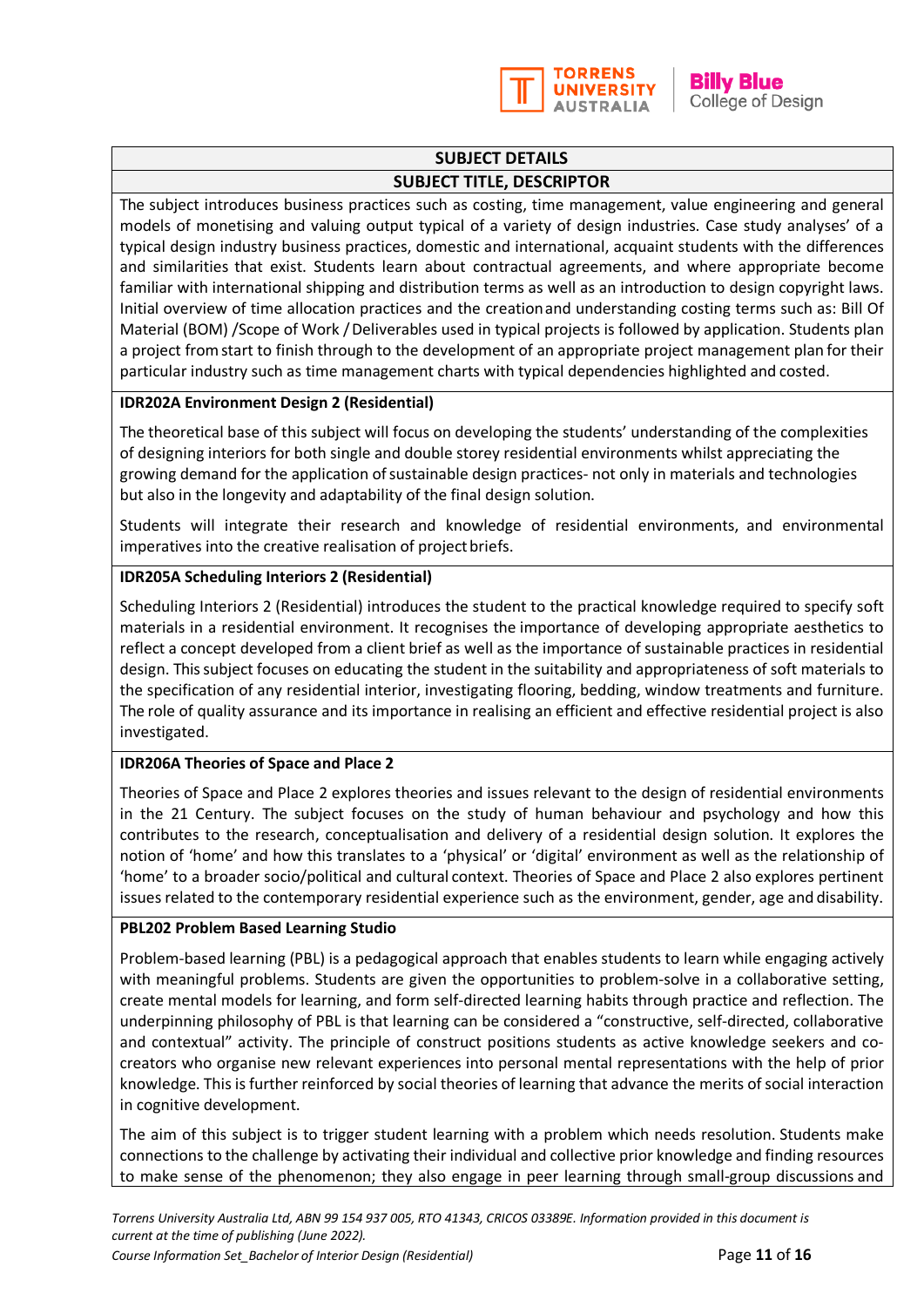

## **SUBJECT DETAILS SUBJECT TITLE, DESCRIPTOR**

The subject introduces business practices such as costing, time management, value engineering and general models of monetising and valuing output typical of a variety of design industries. Case study analyses' of a typical design industry business practices, domestic and international, acquaint students with the differences and similarities that exist. Students learn about contractual agreements, and where appropriate become familiar with international shipping and distribution terms as well as an introduction to design copyright laws. Initial overview of time allocation practices and the creationand understanding costing terms such as: Bill Of Material (BOM) /Scope of Work /Deliverables used in typical projects is followed by application. Students plan a project fromstart to finish through to the development of an appropriate project management plan for their particular industry such as time management charts with typical dependencies highlighted and costed.

#### **IDR202A Environment Design 2 (Residential)**

The theoretical base of this subject will focus on developing the students' understanding of the complexities of designing interiors for both single and double storey residential environments whilst appreciating the growing demand for the application of sustainable design practices- not only in materials and technologies but also in the longevity and adaptability of the final design solution.

Students will integrate their research and knowledge of residential environments, and environmental imperatives into the creative realisation of project briefs.

### **IDR205A Scheduling Interiors 2 (Residential)**

Scheduling Interiors 2 (Residential) introduces the student to the practical knowledge required to specify soft materials in a residential environment. It recognises the importance of developing appropriate aesthetics to reflect a concept developed from a client brief as well as the importance of sustainable practices in residential design. This subject focuses on educating the student in the suitability and appropriateness of soft materials to the specification of any residential interior, investigating flooring, bedding, window treatments and furniture. The role of quality assurance and its importance in realising an efficient and effective residential project is also investigated.

#### **IDR206A Theories of Space and Place 2**

Theories of Space and Place 2 explores theories and issues relevant to the design of residential environments in the 21 Century. The subject focuses on the study of human behaviour and psychology and how this contributes to the research, conceptualisation and delivery of a residential design solution. It explores the notion of 'home' and how this translates to a 'physical' or 'digital' environment as well as the relationship of 'home' to a broader socio/political and cultural context. Theories of Space and Place 2 also explores pertinent issues related to the contemporary residential experience such as the environment, gender, age and disability.

#### **PBL202 Problem Based Learning Studio**

Problem-based learning (PBL) is a pedagogical approach that enables students to learn while engaging actively with meaningful problems. Students are given the opportunities to problem-solve in a collaborative setting, create mental models for learning, and form self-directed learning habits through practice and reflection. The underpinning philosophy of PBL is that learning can be considered a "constructive, self-directed, collaborative and contextual" activity. The principle of construct positions students as active knowledge seekers and cocreators who organise new relevant experiences into personal mental representations with the help of prior knowledge. This is further reinforced by social theories of learning that advance the merits of social interaction in cognitive development.

The aim of this subject is to trigger student learning with a problem which needs resolution. Students make connections to the challenge by activating their individual and collective prior knowledge and finding resources to make sense of the phenomenon; they also engage in peer learning through small-group discussions and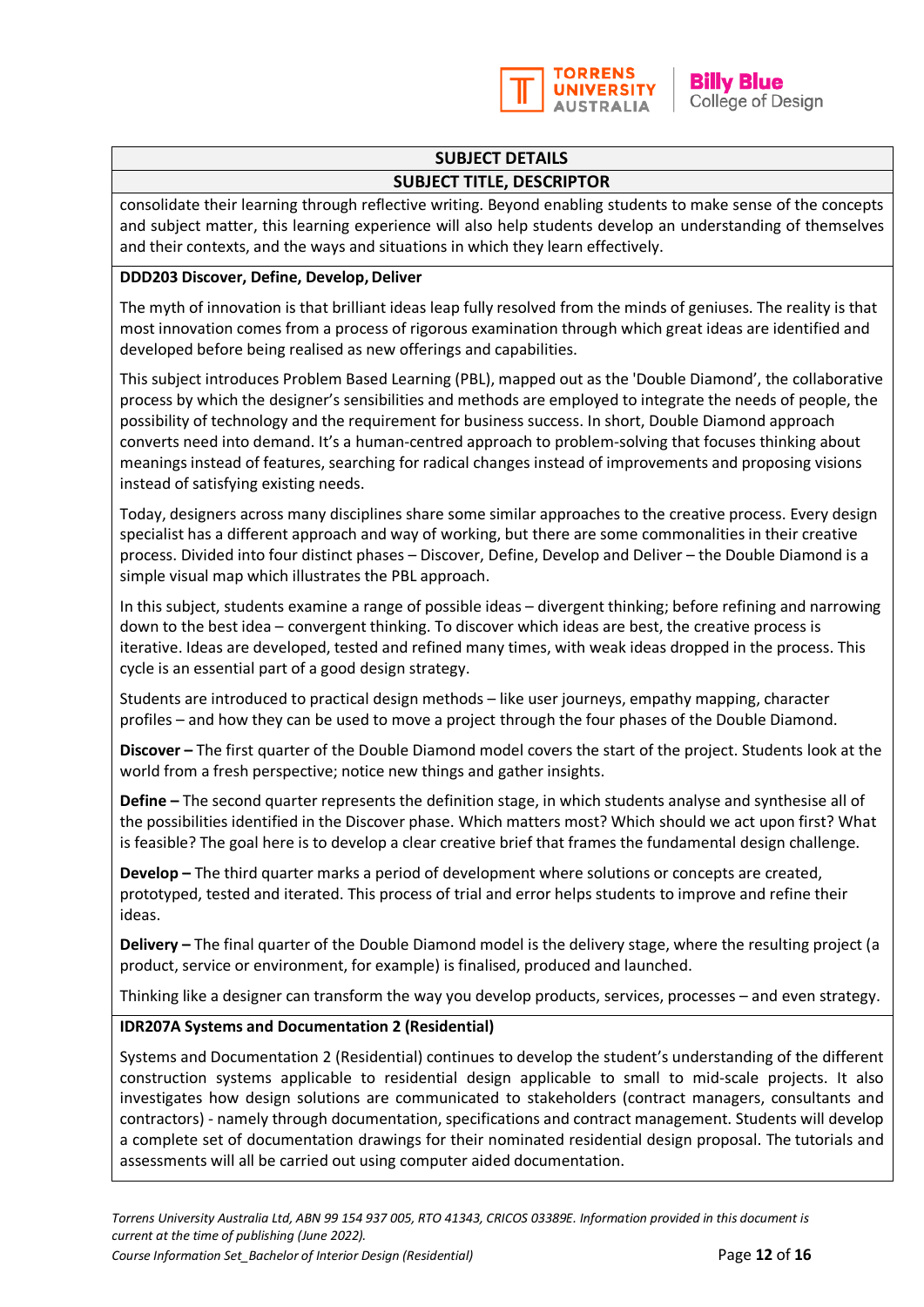

**Billy Blue** College of Design

# **SUBJECT DETAILS**

### **SUBJECT TITLE, DESCRIPTOR**

consolidate their learning through reflective writing. Beyond enabling students to make sense of the concepts and subject matter, this learning experience will also help students develop an understanding of themselves and their contexts, and the ways and situations in which they learn effectively.

#### **DDD203 Discover, Define, Develop,Deliver**

The myth of innovation is that brilliant ideas leap fully resolved from the minds of geniuses. The reality is that most innovation comes from a process of rigorous examination through which great ideas are identified and developed before being realised as new offerings and capabilities.

This subject introduces Problem Based Learning (PBL), mapped out as the 'Double Diamond', the collaborative process by which the designer's sensibilities and methods are employed to integrate the needs of people, the possibility of technology and the requirement for business success. In short, Double Diamond approach converts need into demand. It's a human-centred approach to problem-solving that focuses thinking about meanings instead of features, searching for radical changes instead of improvements and proposing visions instead of satisfying existing needs.

Today, designers across many disciplines share some similar approaches to the creative process. Every design specialist has a different approach and way of working, but there are some commonalities in their creative process. Divided into four distinct phases – Discover, Define, Develop and Deliver – the Double Diamond is a simple visual map which illustrates the PBL approach.

In this subject, students examine a range of possible ideas – divergent thinking; before refining and narrowing down to the best idea – convergent thinking. To discover which ideas are best, the creative process is iterative. Ideas are developed, tested and refined many times, with weak ideas dropped in the process. This cycle is an essential part of a good design strategy.

Students are introduced to practical design methods – like user journeys, empathy mapping, character profiles – and how they can be used to move a project through the four phases of the Double Diamond.

**Discover –** The first quarter of the Double Diamond model covers the start of the project. Students look at the world from a fresh perspective; notice new things and gather insights.

**Define –** The second quarter represents the definition stage, in which students analyse and synthesise all of the possibilities identified in the Discover phase. Which matters most? Which should we act upon first? What is feasible? The goal here is to develop a clear creative brief that frames the fundamental design challenge.

**Develop –** The third quarter marks a period of development where solutions or concepts are created, prototyped, tested and iterated. This process of trial and error helps students to improve and refine their ideas.

**Delivery –** The final quarter of the Double Diamond model is the delivery stage, where the resulting project (a product, service or environment, for example) is finalised, produced and launched.

Thinking like a designer can transform the way you develop products, services, processes – and even strategy.

## **IDR207A Systems and Documentation 2 (Residential)**

Systems and Documentation 2 (Residential) continues to develop the student's understanding of the different construction systems applicable to residential design applicable to small to mid-scale projects. It also investigates how design solutions are communicated to stakeholders (contract managers, consultants and contractors) - namely through documentation, specifications and contract management. Students will develop a complete set of documentation drawings for their nominated residential design proposal. The tutorials and assessments will all be carried out using computer aided documentation.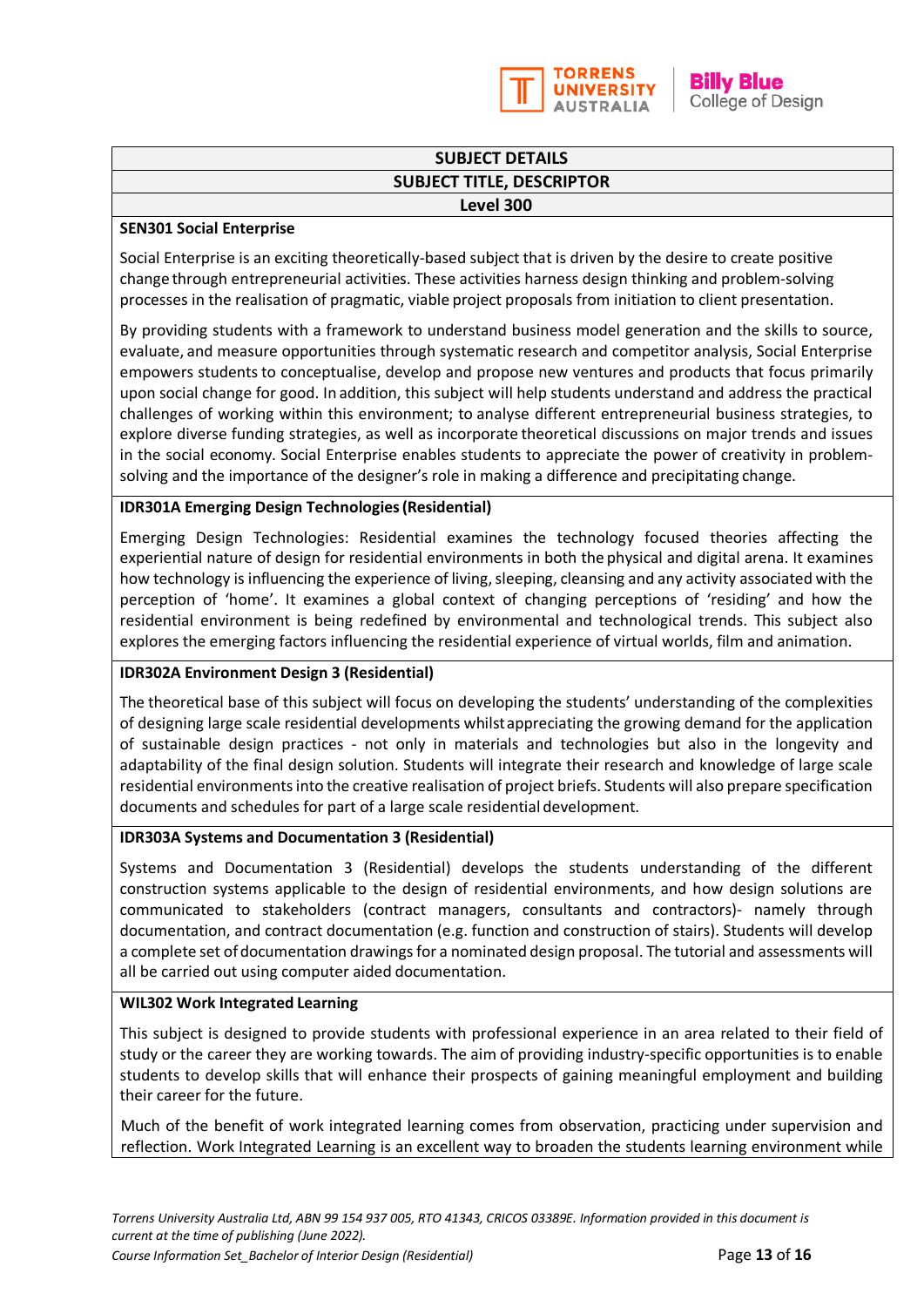

**Billy Blue** College of Design

### **SUBJECT DETAILS SUBJECT TITLE, DESCRIPTOR Level 300**

#### **SEN301 Social Enterprise**

Social Enterprise is an exciting theoretically-based subject that is driven by the desire to create positive change through entrepreneurial activities. These activities harness design thinking and problem-solving processes in the realisation of pragmatic, viable project proposals from initiation to client presentation.

By providing students with a framework to understand business model generation and the skills to source, evaluate, and measure opportunities through systematic research and competitor analysis, Social Enterprise empowers students to conceptualise, develop and propose new ventures and products that focus primarily upon social change for good. In addition, this subject will help students understand and address the practical challenges of working within this environment; to analyse different entrepreneurial business strategies, to explore diverse funding strategies, as well as incorporate theoretical discussions on major trends and issues in the social economy. Social Enterprise enables students to appreciate the power of creativity in problemsolving and the importance of the designer's role in making a difference and precipitating change.

#### **IDR301A Emerging Design Technologies(Residential)**

Emerging Design Technologies: Residential examines the technology focused theories affecting the experiential nature of design for residential environments in both the physical and digital arena. It examines how technology is influencing the experience of living, sleeping, cleansing and any activity associated with the perception of 'home'. It examines a global context of changing perceptions of 'residing' and how the residential environment is being redefined by environmental and technological trends. This subject also explores the emerging factors influencing the residential experience of virtual worlds, film and animation.

#### **IDR302A Environment Design 3 (Residential)**

The theoretical base of this subject will focus on developing the students' understanding of the complexities of designing large scale residential developments whilstappreciating the growing demand for the application of sustainable design practices - not only in materials and technologies but also in the longevity and adaptability of the final design solution. Students will integrate their research and knowledge of large scale residential environments into the creative realisation of project briefs. Students will also prepare specification documents and schedules for part of a large scale residential development.

#### **IDR303A Systems and Documentation 3 (Residential)**

Systems and Documentation 3 (Residential) develops the students understanding of the different construction systems applicable to the design of residential environments, and how design solutions are communicated to stakeholders (contract managers, consultants and contractors)- namely through documentation, and contract documentation (e.g. function and construction of stairs). Students will develop a complete set ofdocumentation drawings for a nominated design proposal. The tutorial and assessments will all be carried out using computer aided documentation.

#### **WIL302 Work Integrated Learning**

This subject is designed to provide students with professional experience in an area related to their field of study or the career they are working towards. The aim of providing industry-specific opportunities is to enable students to develop skills that will enhance their prospects of gaining meaningful employment and building their career for the future.

Much of the benefit of work integrated learning comes from observation, practicing under supervision and reflection. Work Integrated Learning is an excellent way to broaden the students learning environment while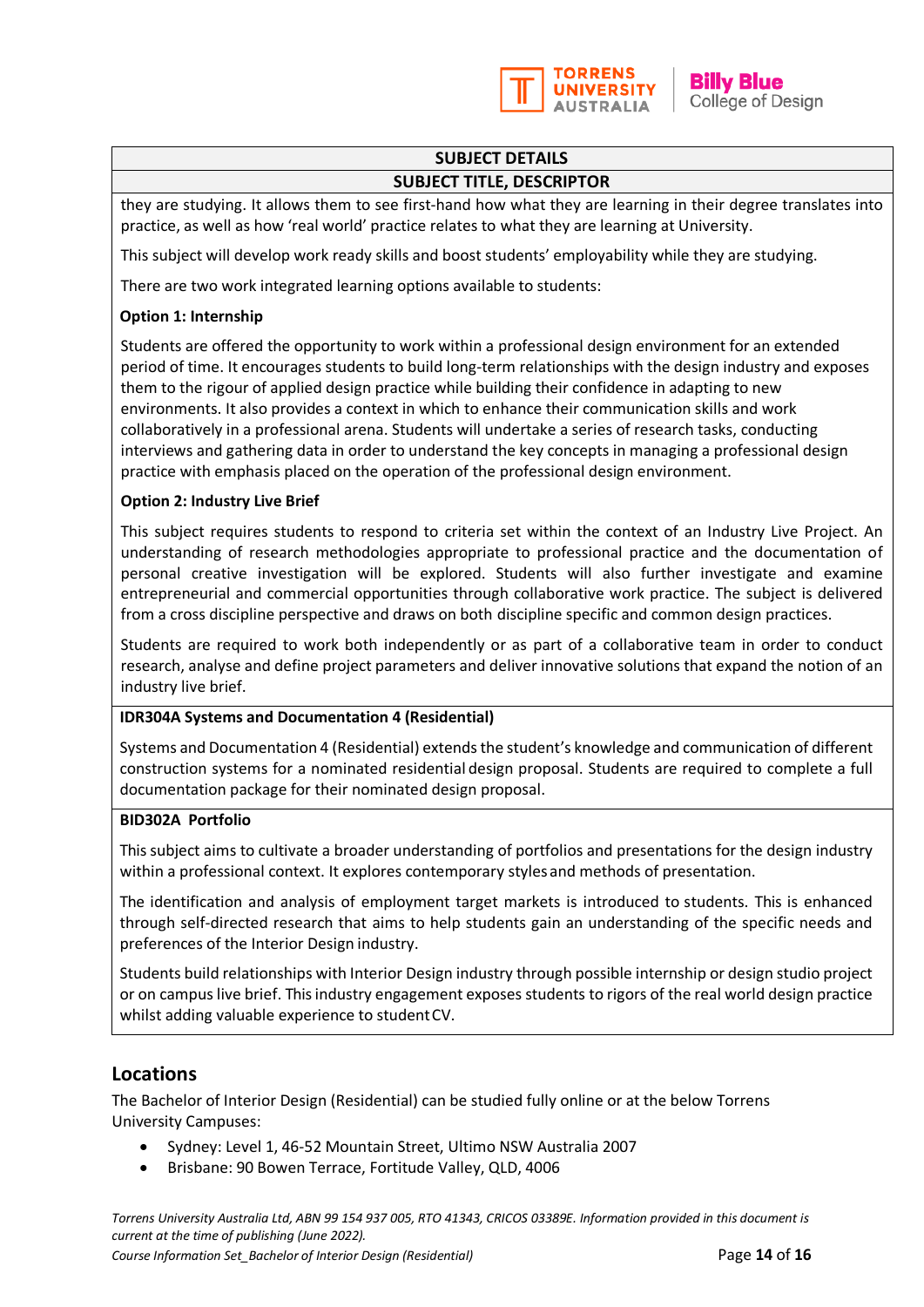

# **SUBJECT DETAILS**

#### **SUBJECT TITLE, DESCRIPTOR**

they are studying. It allows them to see first-hand how what they are learning in their degree translates into practice, as well as how 'real world' practice relates to what they are learning at University.

This subject will develop work ready skills and boost students' employability while they are studying.

There are two work integrated learning options available to students:

#### **Option 1: Internship**

Students are offered the opportunity to work within a professional design environment for an extended period of time. It encourages students to build long-term relationships with the design industry and exposes them to the rigour of applied design practice while building their confidence in adapting to new environments. It also provides a context in which to enhance their communication skills and work collaboratively in a professional arena. Students will undertake a series of research tasks, conducting interviews and gathering data in order to understand the key concepts in managing a professional design practice with emphasis placed on the operation of the professional design environment.

#### **Option 2: Industry Live Brief**

This subject requires students to respond to criteria set within the context of an Industry Live Project. An understanding of research methodologies appropriate to professional practice and the documentation of personal creative investigation will be explored. Students will also further investigate and examine entrepreneurial and commercial opportunities through collaborative work practice. The subject is delivered from a cross discipline perspective and draws on both discipline specific and common design practices.

Students are required to work both independently or as part of a collaborative team in order to conduct research, analyse and define project parameters and deliver innovative solutions that expand the notion of an industry live brief.

#### **IDR304A Systems and Documentation 4 (Residential)**

Systems and Documentation 4 (Residential) extends the student's knowledge and communication of different construction systems for a nominated residential design proposal. Students are required to complete a full documentation package for their nominated design proposal.

#### **BID302A Portfolio**

This subject aims to cultivate a broader understanding of portfolios and presentations for the design industry within a professional context. It explores contemporary stylesand methods of presentation.

The identification and analysis of employment target markets is introduced to students. This is enhanced through self-directed research that aims to help students gain an understanding of the specific needs and preferences of the Interior Design industry.

Students build relationships with Interior Design industry through possible internship or design studio project or on campus live brief. This industry engagement exposes students to rigors of the real world design practice whilst adding valuable experience to studentCV.

## **Locations**

The Bachelor of Interior Design (Residential) can be studied fully online or at the below Torrens University Campuses:

- Sydney: Level 1, 46-52 Mountain Street, Ultimo NSW Australia 2007
- Brisbane: 90 Bowen Terrace, Fortitude Valley, QLD, 4006

*Torrens University Australia Ltd, ABN 99 154 937 005, RTO 41343, CRICOS 03389E. Information provided in this document is current at the time of publishing (June 2022).* 

*Course Information Set\_Bachelor of Interior Design (Residential)* Page **14** of **16**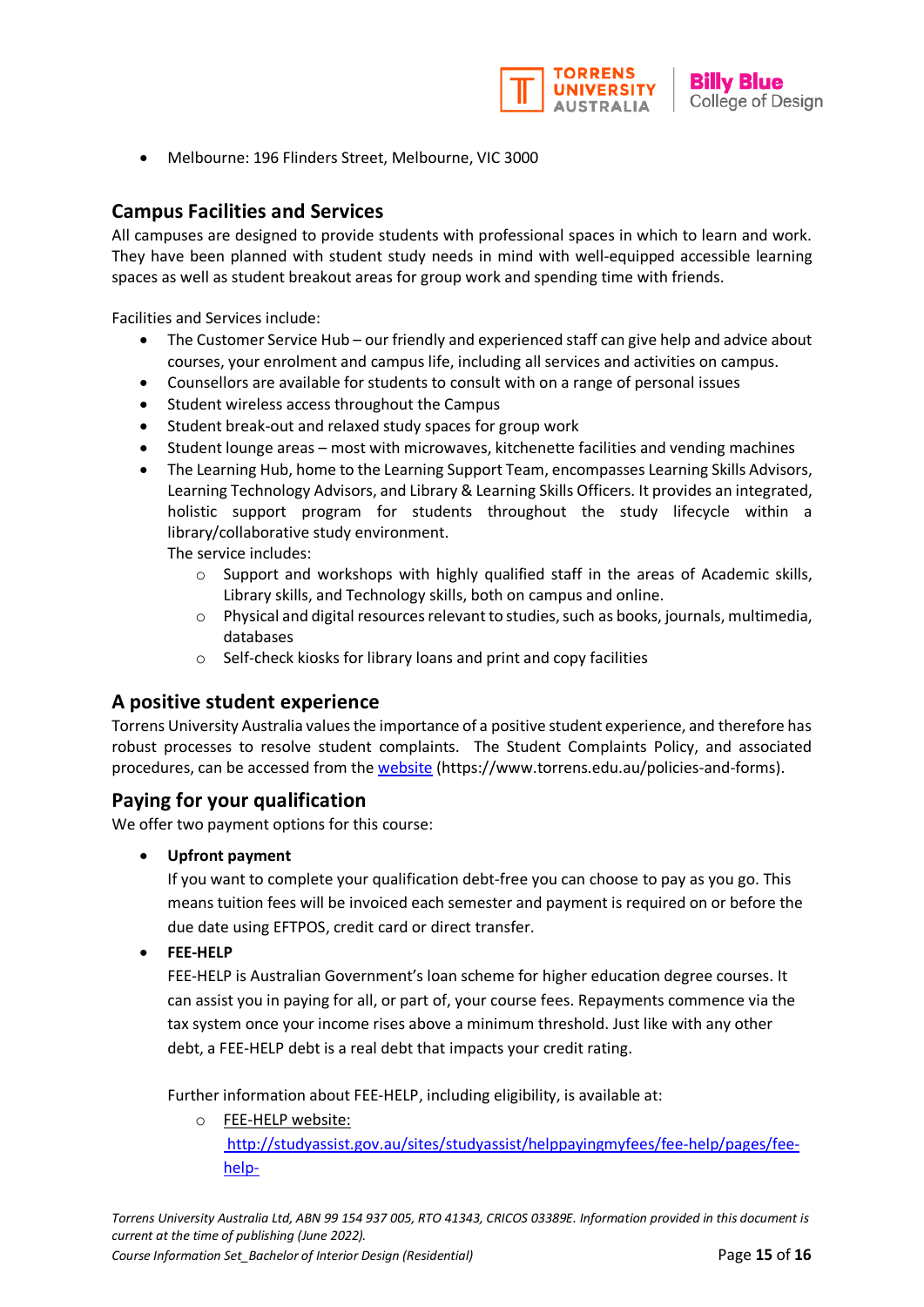

• Melbourne: 196 Flinders Street, Melbourne, VIC 3000

# **Campus Facilities and Services**

All campuses are designed to provide students with professional spaces in which to learn and work. They have been planned with student study needs in mind with well-equipped accessible learning spaces as well as student breakout areas for group work and spending time with friends.

Facilities and Services include:

- The Customer Service Hub our friendly and experienced staff can give help and advice about courses, your enrolment and campus life, including all services and activities on campus.
- Counsellors are available for students to consult with on a range of personal issues
- Student wireless access throughout the Campus
- Student break-out and relaxed study spaces for group work
- Student lounge areas most with microwaves, kitchenette facilities and vending machines
- The Learning Hub, home to the Learning Support Team, encompasses Learning Skills Advisors, Learning Technology Advisors, and Library & Learning Skills Officers. It provides an integrated, holistic support program for students throughout the study lifecycle within a library/collaborative study environment.

The service includes:

- $\circ$  Support and workshops with highly qualified staff in the areas of Academic skills, Library skills, and Technology skills, both on campus and online.
- o Physical and digital resources relevant to studies, such as books, journals, multimedia, databases
- o Self-check kiosks for library loans and print and copy facilities

## **A positive student experience**

Torrens University Australia values the importance of a positive student experience, and therefore has robust processes to resolve student complaints. The Student Complaints Policy, and associated procedures, can be accessed from the [website](http://www.torrens.edu.au/policies-and-forms) (https://www.torrens.edu.au/policies-and-forms).

## **Paying for your qualification**

We offer two payment options for this course:

• **Upfront payment**

If you want to complete your qualification debt-free you can choose to pay as you go. This means tuition fees will be invoiced each semester and payment is required on or before the due date using EFTPOS, credit card or direct transfer.

• **FEE-HELP**

FEE-HELP is Australian Government's loan scheme for higher education degree courses. It can assist you in paying for all, or part of, your course fees. Repayments commence via the tax system once your income rises above a minimum threshold. Just like with any other debt, a FEE-HELP debt is a real debt that impacts your credit rating.

Further information about FEE-HELP, including eligibility, is available at:

o [FEE-HELP website:](http://studyassist.gov.au/sites/studyassist/helppayingmyfees/fee-help/pages/fee-help-)  [http://studyassist.gov.au/sites/studyassist/helppayingmyfees/fee-help/pages/fee](http://studyassist.gov.au/sites/studyassist/helppayingmyfees/fee-help/pages/fee-help-)[help-](http://studyassist.gov.au/sites/studyassist/helppayingmyfees/fee-help/pages/fee-help-)